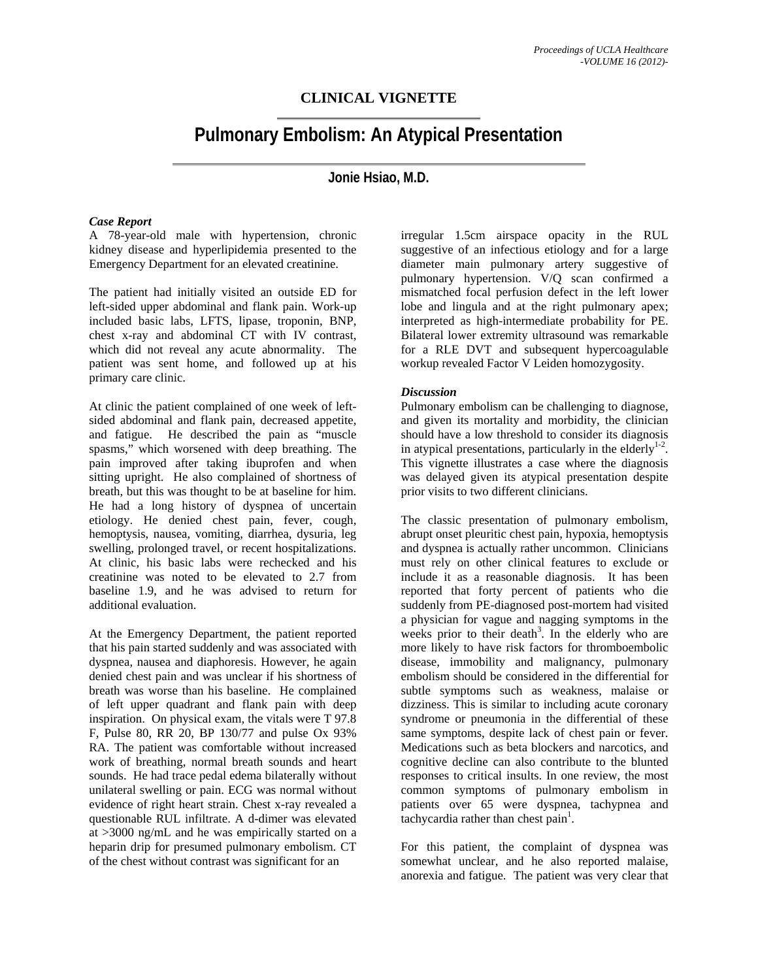## **CLINICAL VIGNETTE**

# **Pulmonary Embolism: An Atypical Presentation**

### **Jonie Hsiao, M.D.**

#### *Case Report*

A 78-year-old male with hypertension, chronic kidney disease and hyperlipidemia presented to the Emergency Department for an elevated creatinine.

The patient had initially visited an outside ED for left-sided upper abdominal and flank pain. Work-up included basic labs, LFTS, lipase, troponin, BNP, chest x-ray and abdominal CT with IV contrast, which did not reveal any acute abnormality. The patient was sent home, and followed up at his primary care clinic.

At clinic the patient complained of one week of leftsided abdominal and flank pain, decreased appetite, and fatigue. He described the pain as "muscle spasms," which worsened with deep breathing. The pain improved after taking ibuprofen and when sitting upright. He also complained of shortness of breath, but this was thought to be at baseline for him. He had a long history of dyspnea of uncertain etiology. He denied chest pain, fever, cough, hemoptysis, nausea, vomiting, diarrhea, dysuria, leg swelling, prolonged travel, or recent hospitalizations. At clinic, his basic labs were rechecked and his creatinine was noted to be elevated to 2.7 from baseline 1.9, and he was advised to return for additional evaluation.

At the Emergency Department, the patient reported that his pain started suddenly and was associated with dyspnea, nausea and diaphoresis. However, he again denied chest pain and was unclear if his shortness of breath was worse than his baseline. He complained of left upper quadrant and flank pain with deep inspiration. On physical exam, the vitals were T 97.8 F, Pulse 80, RR 20, BP 130/77 and pulse Ox 93% RA. The patient was comfortable without increased work of breathing, normal breath sounds and heart sounds. He had trace pedal edema bilaterally without unilateral swelling or pain. ECG was normal without evidence of right heart strain. Chest x-ray revealed a questionable RUL infiltrate. A d-dimer was elevated at >3000 ng/mL and he was empirically started on a heparin drip for presumed pulmonary embolism. CT of the chest without contrast was significant for an

irregular 1.5cm airspace opacity in the RUL suggestive of an infectious etiology and for a large diameter main pulmonary artery suggestive of pulmonary hypertension. V/Q scan confirmed a mismatched focal perfusion defect in the left lower lobe and lingula and at the right pulmonary apex; interpreted as high-intermediate probability for PE. Bilateral lower extremity ultrasound was remarkable for a RLE DVT and subsequent hypercoagulable workup revealed Factor V Leiden homozygosity.

#### *Discussion*

Pulmonary embolism can be challenging to diagnose, and given its mortality and morbidity, the clinician should have a low threshold to consider its diagnosis in atypical presentations, particularly in the elderly $1-2$ . This vignette illustrates a case where the diagnosis was delayed given its atypical presentation despite prior visits to two different clinicians.

The classic presentation of pulmonary embolism, abrupt onset pleuritic chest pain, hypoxia, hemoptysis and dyspnea is actually rather uncommon. Clinicians must rely on other clinical features to exclude or include it as a reasonable diagnosis. It has been reported that forty percent of patients who die suddenly from PE-diagnosed post-mortem had visited a physician for vague and nagging symptoms in the weeks prior to their death<sup>3</sup>. In the elderly who are more likely to have risk factors for thromboembolic disease, immobility and malignancy, pulmonary embolism should be considered in the differential for subtle symptoms such as weakness, malaise or dizziness. This is similar to including acute coronary syndrome or pneumonia in the differential of these same symptoms, despite lack of chest pain or fever. Medications such as beta blockers and narcotics, and cognitive decline can also contribute to the blunted responses to critical insults. In one review, the most common symptoms of pulmonary embolism in patients over 65 were dyspnea, tachypnea and tachycardia rather than chest  $\text{pain}^1$ .

For this patient, the complaint of dyspnea was somewhat unclear, and he also reported malaise, anorexia and fatigue. The patient was very clear that